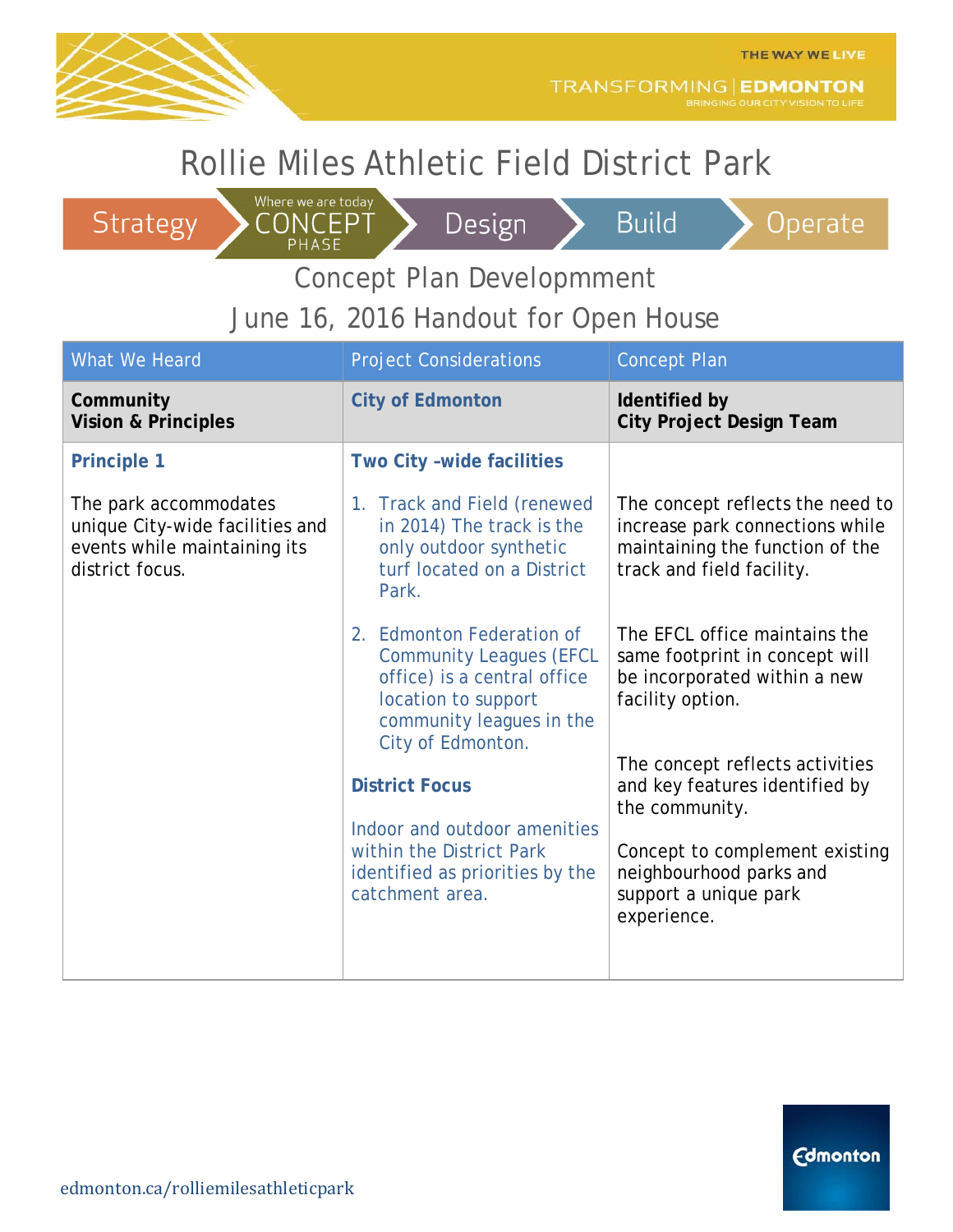

TRANSFORMING | EDMONTON

**Build** 

## Rollie Miles Athletic Field District Park

Where we are today

CONCEPT

PHASE

#### Strategy



#### Operate

Concept Plan Developmment

#### June 16, 2016 Handout for Open House

| <b>Project Considerations</b>                                                                                                                 | <b>Concept Plan</b>                                                                                                                 |
|-----------------------------------------------------------------------------------------------------------------------------------------------|-------------------------------------------------------------------------------------------------------------------------------------|
| <b>City of Edmonton</b>                                                                                                                       | Identified by<br><b>City Project Design Team</b>                                                                                    |
| Two City -wide facilities                                                                                                                     |                                                                                                                                     |
| 1. Track and Field (renewed<br>in 2014) The track is the<br>only outdoor synthetic<br>turf located on a District<br>Park.                     | The concept reflects the need to<br>increase park connections while<br>maintaining the function of the<br>track and field facility. |
| 2. Edmonton Federation of<br><b>Community Leagues (EFCL</b><br>office) is a central office<br>location to support<br>community leagues in the | The EFCL office maintains the<br>same footprint in concept will<br>be incorporated within a new<br>facility option.                 |
| <b>District Focus</b>                                                                                                                         | The concept reflects activities<br>and key features identified by<br>the community.                                                 |
| Indoor and outdoor amenities<br>within the District Park<br>identified as priorities by the<br>catchment area.                                | Concept to complement existing<br>neighbourhood parks and<br>support a unique park<br>experience.                                   |
|                                                                                                                                               | City of Edmonton.                                                                                                                   |

**Edmonton**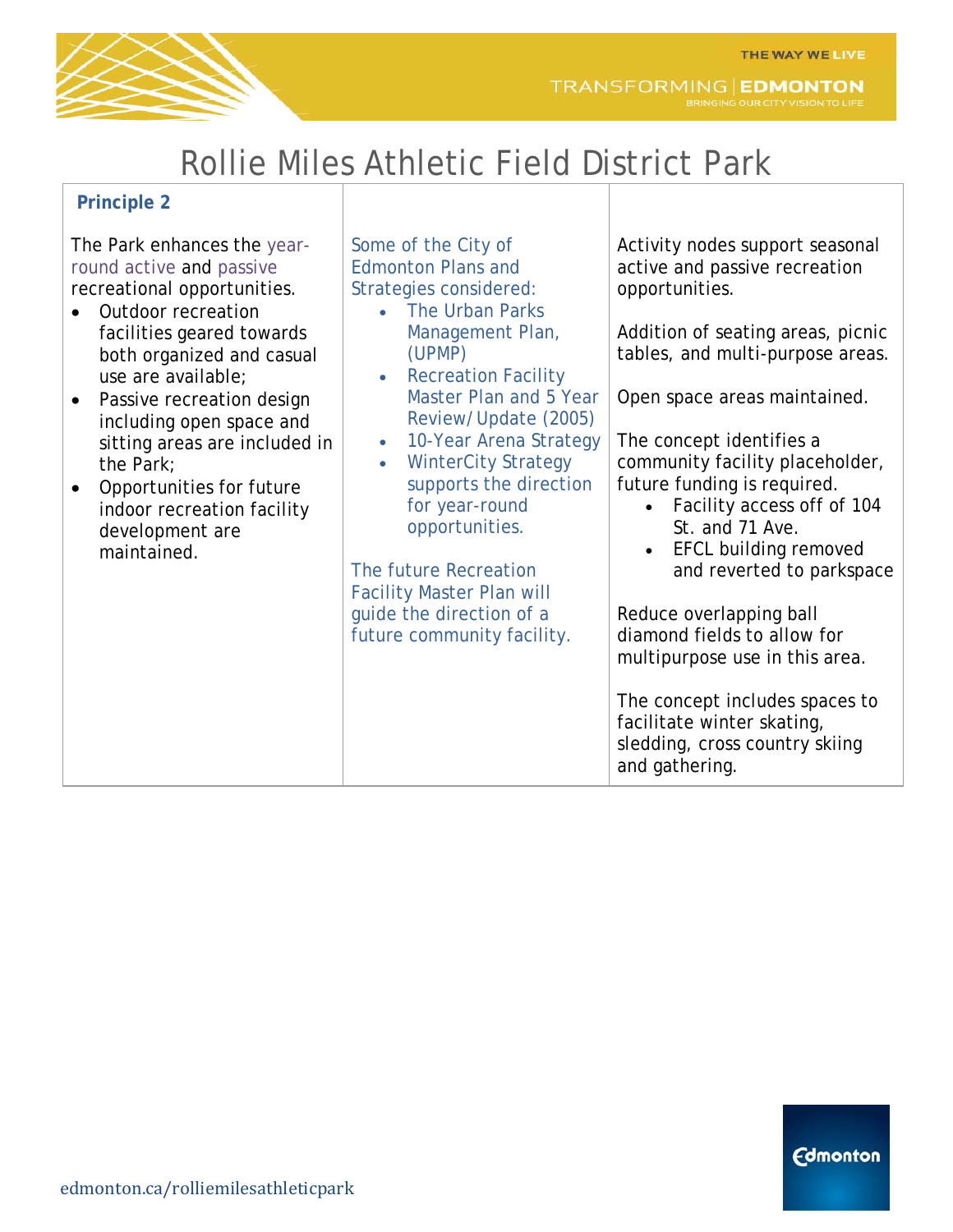

## Rollie Miles Athletic Field District Park

#### **Principle 2**

The Park enhances the yearround active and passive recreational opportunities.

- Outdoor recreation facilities geared towards both organized and casual use are available;
- Passive recreation design including open space and sitting areas are included in the Park;
- Opportunities for future indoor recreation facility development are maintained.

Some of the City of Edmonton Plans and Strategies considered:

- The Urban Parks Management Plan, (UPMP)
- Recreation Facility Master Plan and 5 Year Review/Update (2005)
- 10-Year Arena Strategy
- WinterCity Strategy supports the direction for year-round opportunities.

The future Recreation Facility Master Plan will guide the direction of a future community facility. Activity nodes support seasonal active and passive recreation opportunities.

Addition of seating areas, picnic tables, and multi-purpose areas.

Open space areas maintained.

The concept identifies a community facility placeholder, future funding is required.

- Facility access off of 104 St. and 71 Ave.
- EFCL building removed and reverted to parkspace

Reduce overlapping ball diamond fields to allow for multipurpose use in this area.

The concept includes spaces to facilitate winter skating, sledding, cross country skiing and gathering.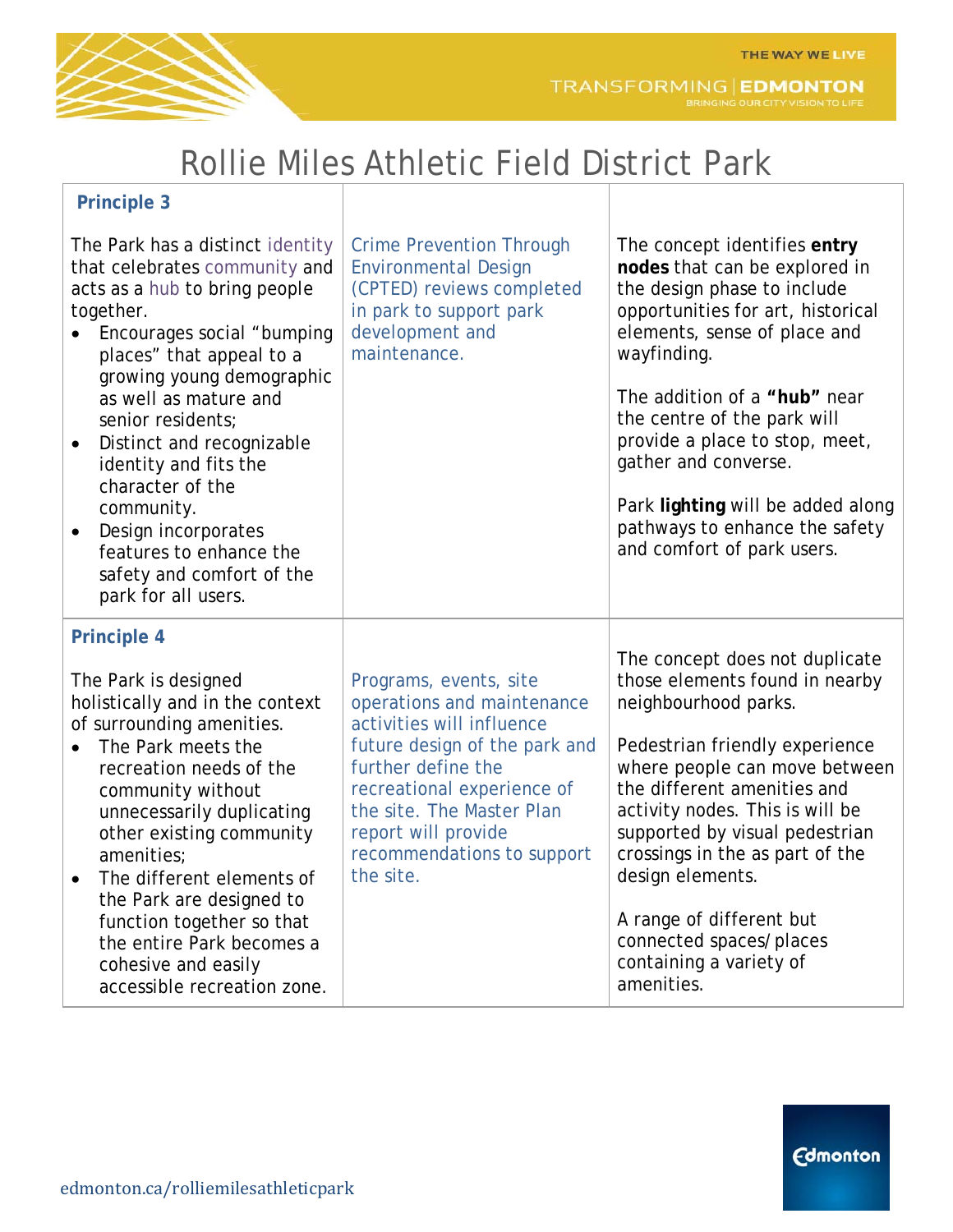**Edmonton** 



# Rollie Miles Athletic Field District Park

| <b>Principle 3</b>                                                                                                                                                                                                                                                                                                                                                                                                                                                           |                                                                                                                                                                                                                                                                       |                                                                                                                                                                                                                                                                                                                                                                                                                        |
|------------------------------------------------------------------------------------------------------------------------------------------------------------------------------------------------------------------------------------------------------------------------------------------------------------------------------------------------------------------------------------------------------------------------------------------------------------------------------|-----------------------------------------------------------------------------------------------------------------------------------------------------------------------------------------------------------------------------------------------------------------------|------------------------------------------------------------------------------------------------------------------------------------------------------------------------------------------------------------------------------------------------------------------------------------------------------------------------------------------------------------------------------------------------------------------------|
| The Park has a distinct identity<br>that celebrates community and<br>acts as a hub to bring people<br>together.<br>Encourages social "bumping<br>places" that appeal to a<br>growing young demographic<br>as well as mature and<br>senior residents;<br>Distinct and recognizable<br>$\bullet$<br>identity and fits the<br>character of the<br>community.<br>Design incorporates<br>$\bullet$<br>features to enhance the<br>safety and comfort of the<br>park for all users. | <b>Crime Prevention Through</b><br><b>Environmental Design</b><br>(CPTED) reviews completed<br>in park to support park<br>development and<br>maintenance.                                                                                                             | The concept identifies entry<br>nodes that can be explored in<br>the design phase to include<br>opportunities for art, historical<br>elements, sense of place and<br>wayfinding.<br>The addition of a "hub" near<br>the centre of the park will<br>provide a place to stop, meet,<br>gather and converse.<br>Park lighting will be added along<br>pathways to enhance the safety<br>and comfort of park users.         |
| <b>Principle 4</b><br>The Park is designed<br>holistically and in the context<br>of surrounding amenities.<br>The Park meets the<br>recreation needs of the<br>community without<br>unnecessarily duplicating<br>other existing community<br>amenities;<br>The different elements of<br>$\bullet$<br>the Park are designed to<br>function together so that<br>the entire Park becomes a<br>cohesive and easily<br>accessible recreation zone.                                | Programs, events, site<br>operations and maintenance<br>activities will influence<br>future design of the park and<br>further define the<br>recreational experience of<br>the site. The Master Plan<br>report will provide<br>recommendations to support<br>the site. | The concept does not duplicate<br>those elements found in nearby<br>neighbourhood parks.<br>Pedestrian friendly experience<br>where people can move between<br>the different amenities and<br>activity nodes. This is will be<br>supported by visual pedestrian<br>crossings in the as part of the<br>design elements.<br>A range of different but<br>connected spaces/places<br>containing a variety of<br>amenities. |